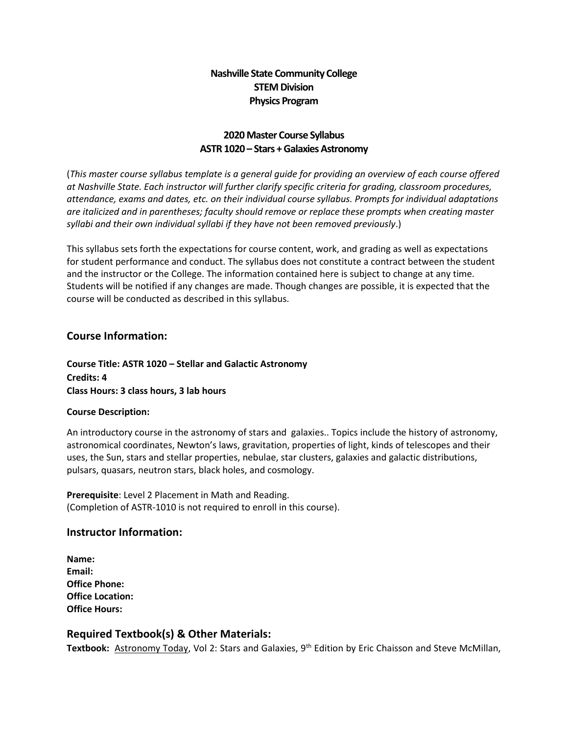## **Nashville State Community College STEM Division Physics Program**

#### **2020 Master Course Syllabus ASTR 1020 – Stars + Galaxies Astronomy**

(*This master course syllabus template is a general guide for providing an overview of each course offered at Nashville State. Each instructor will further clarify specific criteria for grading, classroom procedures, attendance, exams and dates, etc. on their individual course syllabus. Prompts for individual adaptations are italicized and in parentheses; faculty should remove or replace these prompts when creating master syllabi and their own individual syllabi if they have not been removed previously*.)

This syllabus sets forth the expectations for course content, work, and grading as well as expectations for student performance and conduct. The syllabus does not constitute a contract between the student and the instructor or the College. The information contained here is subject to change at any time. Students will be notified if any changes are made. Though changes are possible, it is expected that the course will be conducted as described in this syllabus.

#### **Course Information:**

**Course Title: ASTR 1020 – Stellar and Galactic Astronomy Credits: 4 Class Hours: 3 class hours, 3 lab hours**

#### **Course Description:**

An introductory course in the astronomy of stars and galaxies.. Topics include the history of astronomy, astronomical coordinates, Newton's laws, gravitation, properties of light, kinds of telescopes and their uses, the Sun, stars and stellar properties, nebulae, star clusters, galaxies and galactic distributions, pulsars, quasars, neutron stars, black holes, and cosmology.

**Prerequisite**: Level 2 Placement in Math and Reading. (Completion of ASTR-1010 is not required to enroll in this course).

#### **Instructor Information:**

**Name: Email: Office Phone: Office Location: Office Hours:** 

## **Required Textbook(s) & Other Materials:**

Textbook: Astronomy Today, Vol 2: Stars and Galaxies, 9<sup>th</sup> Edition by Eric Chaisson and Steve McMillan,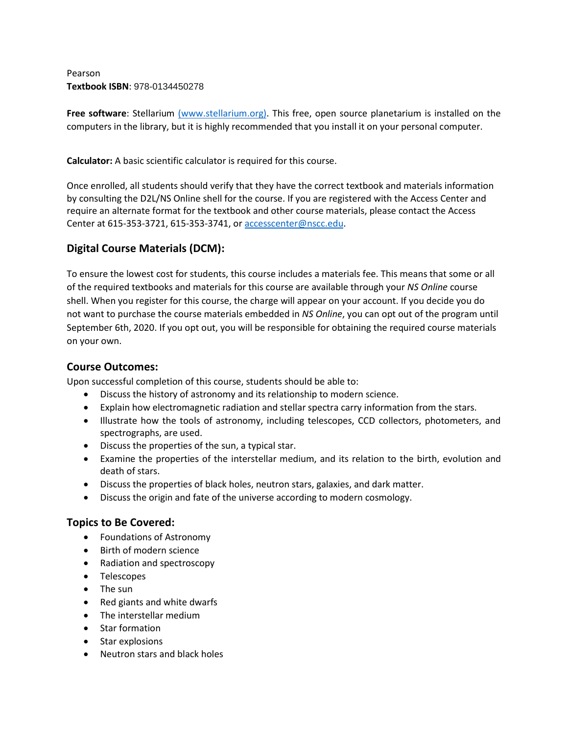Pearson **Textbook ISBN**: 978-0134450278

**Free software**: Stellarium [\(www.stellarium.org\).](http://www.stellarium.org/) This free, open source planetarium is installed on the computers in the library, but it is highly recommended that you install it on your personal computer.

**Calculator:** A basic scientific calculator is required for this course.

Once enrolled, all students should verify that they have the correct textbook and materials information by consulting the D2L/NS Online shell for the course. If you are registered with the Access Center and require an alternate format for the textbook and other course materials, please contact the Access Center at 615-353-3721, 615-353-3741, o[r accesscenter@nscc.edu.](about:blank)

# **Digital Course Materials (DCM):**

To ensure the lowest cost for students, this course includes a materials fee. This means that some or all of the required textbooks and materials for this course are available through your *NS Online* course shell. When you register for this course, the charge will appear on your account. If you decide you do not want to purchase the course materials embedded in *NS Online*, you can opt out of the program until September 6th, 2020. If you opt out, you will be responsible for obtaining the required course materials on your own.

#### **Course Outcomes:**

Upon successful completion of this course, students should be able to:

- Discuss the history of astronomy and its relationship to modern science.
- Explain how electromagnetic radiation and stellar spectra carry information from the stars.
- Illustrate how the tools of astronomy, including telescopes, CCD collectors, photometers, and spectrographs, are used.
- Discuss the properties of the sun, a typical star.
- Examine the properties of the interstellar medium, and its relation to the birth, evolution and death of stars.
- Discuss the properties of black holes, neutron stars, galaxies, and dark matter.
- Discuss the origin and fate of the universe according to modern cosmology.

## **Topics to Be Covered:**

- Foundations of Astronomy
- Birth of modern science
- Radiation and spectroscopy
- Telescopes
- The sun
- Red giants and white dwarfs
- The interstellar medium
- Star formation
- Star explosions
- Neutron stars and black holes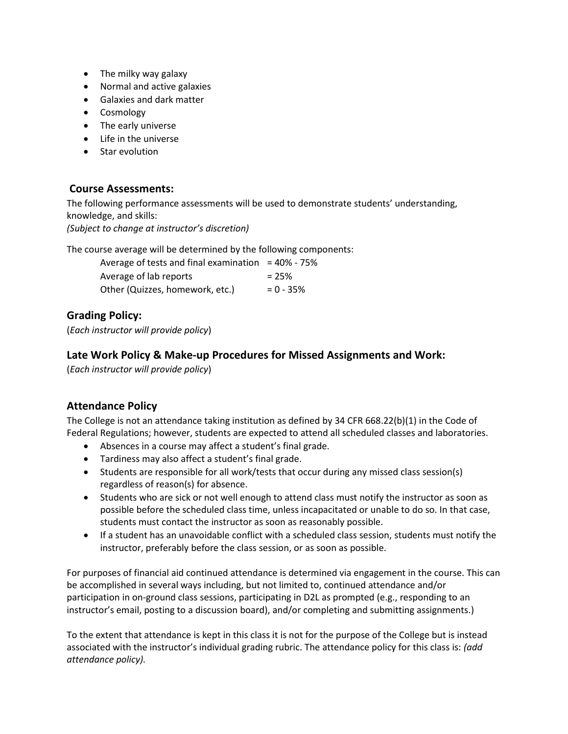- The milky way galaxy
- Normal and active galaxies
- Galaxies and dark matter
- Cosmology
- The early universe
- Life in the universe
- Star evolution

#### **Course Assessments:**

The following performance assessments will be used to demonstrate students' understanding, knowledge, and skills: *(Subject to change at instructor's discretion)*

The course average will be determined by the following components:

| Average of tests and final examination $=$ 40% - 75% |              |
|------------------------------------------------------|--------------|
| Average of lab reports                               | $= 25%$      |
| Other (Quizzes, homework, etc.)                      | $= 0 - 35\%$ |

## **Grading Policy:**

(*Each instructor will provide policy*)

#### **Late Work Policy & Make-up Procedures for Missed Assignments and Work:**

(*Each instructor will provide policy*)

## **Attendance Policy**

The College is not an attendance taking institution as defined by 34 CFR 668.22(b)(1) in the Code of Federal Regulations; however, students are expected to attend all scheduled classes and laboratories.

- Absences in a course may affect a student's final grade.
- Tardiness may also affect a student's final grade.
- Students are responsible for all work/tests that occur during any missed class session(s) regardless of reason(s) for absence.
- Students who are sick or not well enough to attend class must notify the instructor as soon as possible before the scheduled class time, unless incapacitated or unable to do so. In that case, students must contact the instructor as soon as reasonably possible.
- If a student has an unavoidable conflict with a scheduled class session, students must notify the instructor, preferably before the class session, or as soon as possible.

For purposes of financial aid continued attendance is determined via engagement in the course. This can be accomplished in several ways including, but not limited to, continued attendance and/or participation in on-ground class sessions, participating in D2L as prompted (e.g., responding to an instructor's email, posting to a discussion board), and/or completing and submitting assignments.)

To the extent that attendance is kept in this class it is not for the purpose of the College but is instead associated with the instructor's individual grading rubric. The attendance policy for this class is: *(add attendance policy).*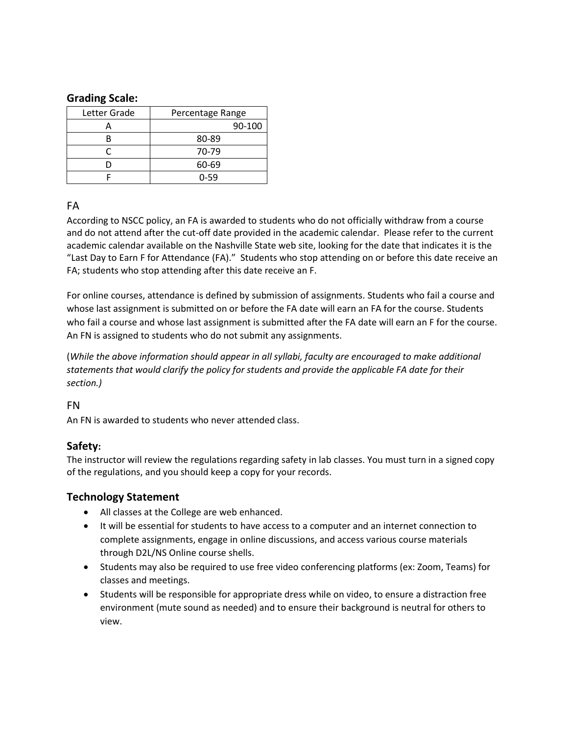#### **Grading Scale:**

| Letter Grade | Percentage Range |
|--------------|------------------|
|              | 90-100           |
|              | 80-89            |
|              | 70-79            |
|              | 60-69            |
|              | 0-59             |

## FA

According to NSCC policy, an FA is awarded to students who do not officially withdraw from a course and do not attend after the cut-off date provided in the academic calendar. Please refer to the current academic calendar available on the Nashville State web site, looking for the date that indicates it is the "Last Day to Earn F for Attendance (FA)." Students who stop attending on or before this date receive an FA; students who stop attending after this date receive an F.

For online courses, attendance is defined by submission of assignments. Students who fail a course and whose last assignment is submitted on or before the FA date will earn an FA for the course. Students who fail a course and whose last assignment is submitted after the FA date will earn an F for the course. An FN is assigned to students who do not submit any assignments.

(*While the above information should appear in all syllabi, faculty are encouraged to make additional statements that would clarify the policy for students and provide the applicable FA date for their section.)*

## FN

An FN is awarded to students who never attended class.

## **Safety:**

The instructor will review the regulations regarding safety in lab classes. You must turn in a signed copy of the regulations, and you should keep a copy for your records.

## **Technology Statement**

- All classes at the College are web enhanced.
- It will be essential for students to have access to a computer and an internet connection to complete assignments, engage in online discussions, and access various course materials through D2L/NS Online course shells.
- Students may also be required to use free video conferencing platforms (ex: Zoom, Teams) for classes and meetings.
- Students will be responsible for appropriate dress while on video, to ensure a distraction free environment (mute sound as needed) and to ensure their background is neutral for others to view.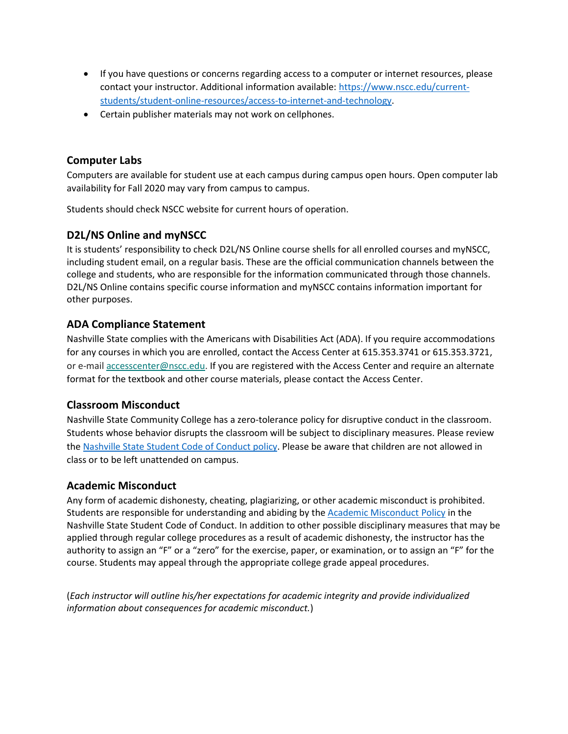- If you have questions or concerns regarding access to a computer or internet resources, please contact your instructor. Additional information available: [https://www.nscc.edu/current](about:blank)[students/student-online-resources/access-to-internet-and-technology.](about:blank)
- Certain publisher materials may not work on cellphones.

#### **Computer Labs**

Computers are available for student use at each campus during campus open hours. Open computer lab availability for Fall 2020 may vary from campus to campus.

Students should check NSCC website for current hours of operation.

## **D2L/NS Online and myNSCC**

It is students' responsibility to check D2L/NS Online course shells for all enrolled courses and myNSCC, including student email, on a regular basis. These are the official communication channels between the college and students, who are responsible for the information communicated through those channels. D2L/NS Online contains specific course information and myNSCC contains information important for other purposes.

#### **ADA Compliance Statement**

Nashville State complies with the Americans with Disabilities Act (ADA). If you require accommodations for any courses in which you are enrolled, contact the Access Center at 615.353.3741 or 615.353.3721, or e-mail [accesscenter@nscc.edu.](about:blank) If you are registered with the Access Center and require an alternate format for the textbook and other course materials, please contact the Access Center.

## **Classroom Misconduct**

Nashville State Community College has a zero-tolerance policy for disruptive conduct in the classroom. Students whose behavior disrupts the classroom will be subject to disciplinary measures. Please review th[e Nashville State Student Code of Conduct policy.](about:blank) Please be aware that children are not allowed in class or to be left unattended on campus.

## **Academic Misconduct**

Any form of academic dishonesty, cheating, plagiarizing, or other academic misconduct is prohibited. Students are responsible for understanding and abiding by th[e Academic Misconduct Policy](about:blank) in the Nashville State Student Code of Conduct. In addition to other possible disciplinary measures that may be applied through regular college procedures as a result of academic dishonesty, the instructor has the authority to assign an "F" or a "zero" for the exercise, paper, or examination, or to assign an "F" for the course. Students may appeal through the appropriate college grade appeal procedures.

(*Each instructor will outline his/her expectations for academic integrity and provide individualized information about consequences for academic misconduct.*)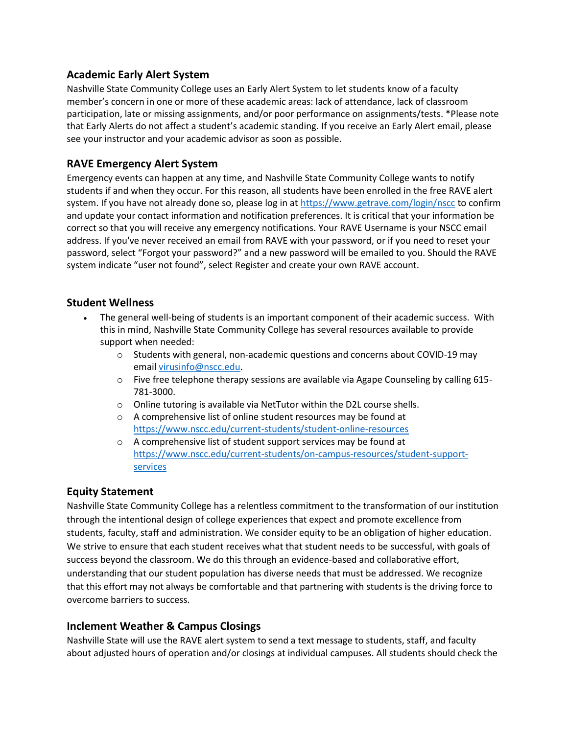#### **Academic Early Alert System**

Nashville State Community College uses an Early Alert System to let students know of a faculty member's concern in one or more of these academic areas: lack of attendance, lack of classroom participation, late or missing assignments, and/or poor performance on assignments/tests. \*Please note that Early Alerts do not affect a student's academic standing. If you receive an Early Alert email, please see your instructor and your academic advisor as soon as possible.

## **RAVE Emergency Alert System**

Emergency events can happen at any time, and Nashville State Community College wants to notify students if and when they occur. For this reason, all students have been enrolled in the free RAVE alert system. If you have not already done so, please log in at [https://www.getrave.com/login/nscc](about:blank) to confirm and update your contact information and notification preferences. It is critical that your information be correct so that you will receive any emergency notifications. Your RAVE Username is your NSCC email address. If you've never received an email from RAVE with your password, or if you need to reset your password, select "Forgot your password?" and a new password will be emailed to you. Should the RAVE system indicate "user not found", select Register and create your own RAVE account.

#### **Student Wellness**

- The general well-being of students is an important component of their academic success. With this in mind, Nashville State Community College has several resources available to provide support when needed:
	- $\circ$  Students with general, non-academic questions and concerns about COVID-19 may email [virusinfo@nscc.edu](about:blank).
	- $\circ$  Five free telephone therapy sessions are available via Agape Counseling by calling 615-781-3000.
	- o Online tutoring is available via NetTutor within the D2L course shells.
	- o A comprehensive list of online student resources may be found at [https://www.nscc.edu/current-students/student-online-resources](about:blank)
	- o A comprehensive list of student support services may be found at [https://www.nscc.edu/current-students/on-campus-resources/student-support](about:blank)[services](about:blank)

## **Equity Statement**

Nashville State Community College has a relentless commitment to the transformation of our institution through the intentional design of college experiences that expect and promote excellence from students, faculty, staff and administration. We consider equity to be an obligation of higher education. We strive to ensure that each student receives what that student needs to be successful, with goals of success beyond the classroom. We do this through an evidence-based and collaborative effort, understanding that our student population has diverse needs that must be addressed. We recognize that this effort may not always be comfortable and that partnering with students is the driving force to overcome barriers to success.

## **Inclement Weather & Campus Closings**

Nashville State will use the RAVE alert system to send a text message to students, staff, and faculty about adjusted hours of operation and/or closings at individual campuses. All students should check the